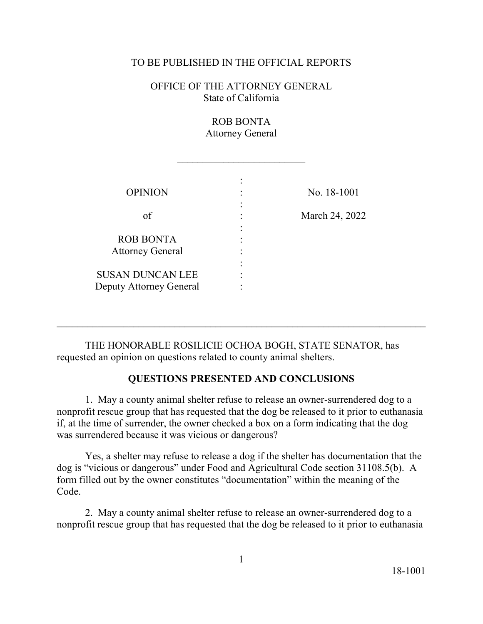## TO BE PUBLISHED IN THE OFFICIAL REPORTS

OFFICE OF THE ATTORNEY GENERAL State of California

## ROB BONTA Attorney General

 $\frac{1}{2}$  ,  $\frac{1}{2}$  ,  $\frac{1}{2}$  ,  $\frac{1}{2}$  ,  $\frac{1}{2}$  ,  $\frac{1}{2}$  ,  $\frac{1}{2}$  ,  $\frac{1}{2}$  ,  $\frac{1}{2}$  ,  $\frac{1}{2}$  ,  $\frac{1}{2}$  ,  $\frac{1}{2}$  ,  $\frac{1}{2}$  ,  $\frac{1}{2}$  ,  $\frac{1}{2}$  ,  $\frac{1}{2}$  ,  $\frac{1}{2}$  ,  $\frac{1}{2}$  ,  $\frac{1$ 

| No. 18-1001    |
|----------------|
|                |
| March 24, 2022 |
|                |
|                |
|                |

 requested an opinion on questions related to county animal shelters. THE HONORABLE ROSILICIE OCHOA BOGH, STATE SENATOR, has

# **QUESTIONS PRESENTED AND CONCLUSIONS**

 $\_$  , and the set of the set of the set of the set of the set of the set of the set of the set of the set of the set of the set of the set of the set of the set of the set of the set of the set of the set of the set of th

 if, at the time of surrender, the owner checked a box on a form indicating that the dog was surrendered because it was vicious or dangerous? 1. May a county animal shelter refuse to release an owner-surrendered dog to a nonprofit rescue group that has requested that the dog be released to it prior to euthanasia

Yes, a shelter may refuse to release a dog if the shelter has documentation that the dog is "vicious or dangerous" under Food and Agricultural Code section 31108.5(b). A form filled out by the owner constitutes "documentation" within the meaning of the Code.

2. May a county animal shelter refuse to release an owner-surrendered dog to a nonprofit rescue group that has requested that the dog be released to it prior to euthanasia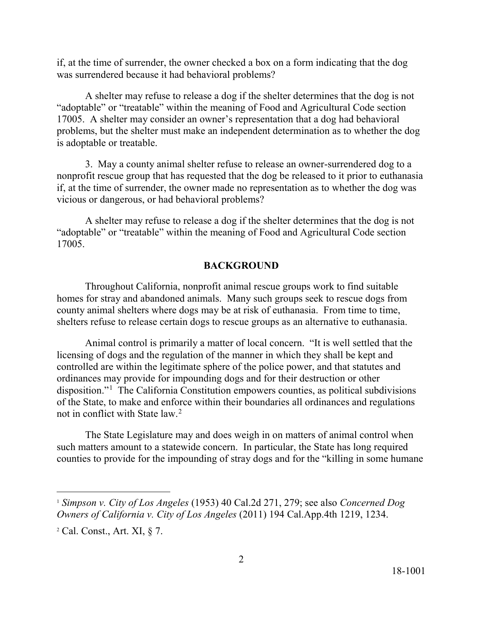was surrendered because it had behavioral problems? if, at the time of surrender, the owner checked a box on a form indicating that the dog

A shelter may refuse to release a dog if the shelter determines that the dog is not "adoptable" or "treatable" within the meaning of Food and Agricultural Code section 17005. A shelter may consider an owner's representation that a dog had behavioral problems, but the shelter must make an independent determination as to whether the dog is adoptable or treatable.

vicious or dangerous, or had behavioral problems? 3. May a county animal shelter refuse to release an owner-surrendered dog to a nonprofit rescue group that has requested that the dog be released to it prior to euthanasia if, at the time of surrender, the owner made no representation as to whether the dog was

A shelter may refuse to release a dog if the shelter determines that the dog is not "adoptable" or "treatable" within the meaning of Food and Agricultural Code section 17005.

## **BACKGROUND**

 county animal shelters where dogs may be at risk of euthanasia. From time to time, shelters refuse to release certain dogs to rescue groups as an alternative to euthanasia. Throughout California, nonprofit animal rescue groups work to find suitable homes for stray and abandoned animals. Many such groups seek to rescue dogs from

disposition."<sup>1</sup> The California Constitution empowers counties, as political subdivisions not in conflict with State law.<sup>2</sup> Animal control is primarily a matter of local concern. "It is well settled that the licensing of dogs and the regulation of the manner in which they shall be kept and controlled are within the legitimate sphere of the police power, and that statutes and ordinances may provide for impounding dogs and for their destruction or other of the State, to make and enforce within their boundaries all ordinances and regulations

The State Legislature may and does weigh in on matters of animal control when such matters amount to a statewide concern. In particular, the State has long required counties to provide for the impounding of stray dogs and for the "killing in some humane

 $\overline{a}$ 

<span id="page-1-0"></span><sup>1</sup>*Simpson v. City of Los Angeles* (1953) 40 Cal.2d 271, 279; see also *Concerned Dog Owners of California v. City of Los Angeles* (2011) 194 Cal.App.4th 1219, 1234.

<span id="page-1-1"></span> 2 Cal. Const., Art. XI, § 7.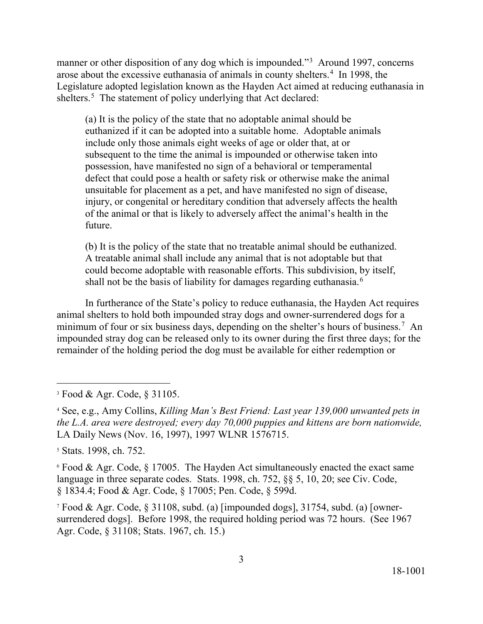manner or other disposition of any dog which is impounded."<sup>3</sup> Around 1997, concerns arose about the excessive euthanasia of animals in county shelters.<sup>4</sup> In 1998, the shelters.<sup>5</sup> The statement of policy underlying that Act declared: Legislature adopted legislation known as the Hayden Act aimed at reducing euthanasia in

(a) It is the policy of the state that no adoptable animal should be euthanized if it can be adopted into a suitable home. Adoptable animals include only those animals eight weeks of age or older that, at or subsequent to the time the animal is impounded or otherwise taken into possession, have manifested no sign of a behavioral or temperamental defect that could pose a health or safety risk or otherwise make the animal unsuitable for placement as a pet, and have manifested no sign of disease, injury, or congenital or hereditary condition that adversely affects the health of the animal or that is likely to adversely affect the animal's health in the future.

(b) It is the policy of the state that no treatable animal should be euthanized. A treatable animal shall include any animal that is not adoptable but that could become adoptable with reasonable efforts. This subdivision, by itself, shall not be the basis of liability for damages regarding euthanasia.<sup>[6](#page-2-3)</sup>

 In furtherance of the State's policy to reduce euthanasia, the Hayden Act requires animal shelters to hold both impounded stray dogs and owner-surrendered dogs for a minimum of four or six business days, depending on the shelter's hours of business.<sup>[7](#page-2-4)</sup> An impounded stray dog can be released only to its owner during the first three days; for the remainder of the holding period the dog must be available for either redemption or

 $\overline{a}$ 

<span id="page-2-0"></span><sup>3</sup> Food & Agr. Code, § 31105.

<span id="page-2-1"></span><sup>4</sup> See, e.g., Amy Collins, *Killing Man's Best Friend: Last year 139,000 unwanted pets in the L.A. area were destroyed; every day 70,000 puppies and kittens are born nationwide,*  LA Daily News (Nov. 16, 1997), 1997 WLNR 1576715.

<span id="page-2-2"></span><sup>5</sup> Stats. 1998, ch. 752.

<span id="page-2-3"></span> $6$  Food & Agr. Code,  $§$  17005. The Hayden Act simultaneously enacted the exact same language in three separate codes. Stats. 1998, ch. 752, §§ 5, 10, 20; see Civ. Code, § 1834.4; Food & Agr. Code, § 17005; Pen. Code, § 599d.

<span id="page-2-4"></span><sup>7</sup> Food & Agr. Code, § 31108, subd. (a) [impounded dogs], 31754, subd. (a) [ownersurrendered dogs]. Before 1998, the required holding period was 72 hours. (See 1967 Agr. Code, § 31108; Stats. 1967, ch. 15.)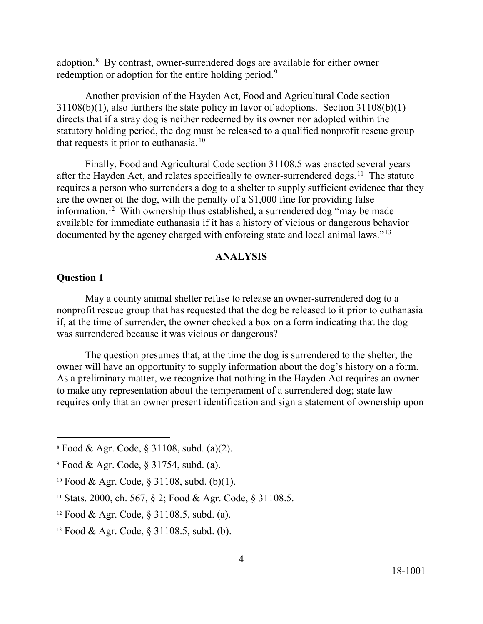adoption.<sup>[8](#page-3-0)</sup> By contrast, owner-surrendered dogs are available for either owner redemption or adoption for the entire holding period.<sup>9</sup>

that requests it prior to euthanasia.<sup>1[0](#page-3-2)</sup> Another provision of the Hayden Act, Food and Agricultural Code section 31108(b)(1), also furthers the state policy in favor of adoptions. Section 31108(b)(1) directs that if a stray dog is neither redeemed by its owner nor adopted within the statutory holding period, the dog must be released to a qualified nonprofit rescue group

after the Hayden Act, and relates specifically to owner-surrendered dogs.<sup>[11](#page-3-3)</sup> The statute are the owner of the dog, with the penalty of a \$1,000 fine for providing false [information.](https://information.12)<sup>12</sup> With ownership thus established, a surrendered dog "may be made documented by the agency charged with enforcing state and local animal laws."<sup>[13](#page-3-5)</sup> Finally, Food and Agricultural Code section 31108.5 was enacted several years requires a person who surrenders a dog to a shelter to supply sufficient evidence that they available for immediate euthanasia if it has a history of vicious or dangerous behavior

# **ANALYSIS**

#### **Question 1**

 $\overline{a}$ 

was surrendered because it was vicious or dangerous? was surrendered because it was vicious or dangerous? The question presumes that, at the time the dog is surrendered to the shelter, the May a county animal shelter refuse to release an owner-surrendered dog to a nonprofit rescue group that has requested that the dog be released to it prior to euthanasia if, at the time of surrender, the owner checked a box on a form indicating that the dog

 owner will have an opportunity to supply information about the dog's history on a form. As a preliminary matter, we recognize that nothing in the Hayden Act requires an owner to make any representation about the temperament of a surrendered dog; state law requires only that an owner present identification and sign a statement of ownership upon

<span id="page-3-0"></span> $8 \text{ Food} \& \text{Agr. Code}, \S 31108, \text{subd. (a)(2)}.$ 

<span id="page-3-1"></span><sup>9</sup> Food & Agr. Code, § 31754, subd. (a).

<span id="page-3-2"></span><sup>&</sup>lt;sup>10</sup> Food & Agr. Code,  $\S 31108$ , subd. (b)(1).

<span id="page-3-3"></span><sup>11</sup> Stats. 2000, ch. 567, § 2; Food & Agr. Code, § 31108.5.

<span id="page-3-4"></span><sup>12</sup> Food & Agr. Code, § 31108.5, subd. (a).

<span id="page-3-5"></span><sup>13</sup> Food & Agr. Code, § 31108.5, subd. (b).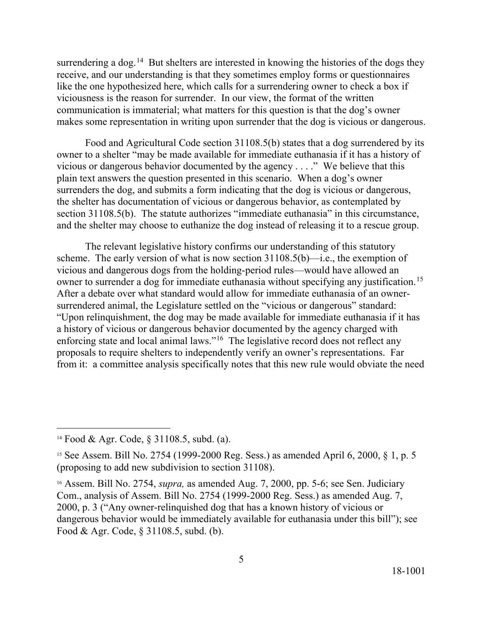surrendering a dog.<sup>14</sup> But shelters are interested in knowing the histories of the dogs they receive, and our understanding is that they sometimes employ forms or questionnaires like the one hypothesized here, which calls for a surrendering owner to check a box if viciousness is the reason for surrender. In our view, the format of the written communication is immaterial; what matters for this question is that the dog's owner makes some representation in writing upon surrender that the dog is vicious or dangerous.

 owner to a shelter "may be made available for immediate euthanasia if it has a history of surrenders the dog, and submits a form indicating that the dog is vicious or dangerous, section 31108.5(b). The statute authorizes "immediate euthanasia" in this circumstance, Food and Agricultural Code section 31108.5(b) states that a dog surrendered by its vicious or dangerous behavior documented by the agency . . . ." We believe that this plain text answers the question presented in this scenario. When a dog's owner the shelter has documentation of vicious or dangerous behavior, as contemplated by

 and the shelter may choose to euthanize the dog instead of releasing it to a rescue group. The relevant legislative history confirms our understanding of this statutory The relevant legislative history confirms our understanding of this statutory scheme. The early version of what is now section 31108.5(b)—i.e., the exemption of owner to surrender a dog for immediate euthanasia without specifying any [justification.](https://justification.15)<sup>15</sup> surrendered animal, the Legislature settled on the "vicious or dangerous" standard: a history of vicious or dangerous behavior documented by the agency charged with enforcing state and local animal laws."<sup>[16](#page-4-2)</sup> The legislative record does not reflect any vicious and dangerous dogs from the holding-period rules—would have allowed an After a debate over what standard would allow for immediate euthanasia of an owner-"Upon relinquishment, the dog may be made available for immediate euthanasia if it has proposals to require shelters to independently verify an owner's representations. Far from it: a committee analysis specifically notes that this new rule would obviate the need

-

<span id="page-4-0"></span><sup>14</sup> Food & Agr. Code, § 31108.5, subd. (a).

<span id="page-4-1"></span><sup>15</sup> See Assem. Bill No. 2754 (1999-2000 Reg. Sess.) as amended April 6, 2000, § 1, p. 5 (proposing to add new subdivision to section 31108).

<span id="page-4-2"></span><sup>16</sup> Assem. Bill No. 2754, *supra,* as amended Aug. 7, 2000, pp. 5-6; see Sen. Judiciary Com., analysis of Assem. Bill No. 2754 (1999-2000 Reg. Sess.) as amended Aug. 7, 2000, p. 3 ("Any owner-relinquished dog that has a known history of vicious or dangerous behavior would be immediately available for euthanasia under this bill"); see Food & Agr. Code, § 31108.5, subd. (b).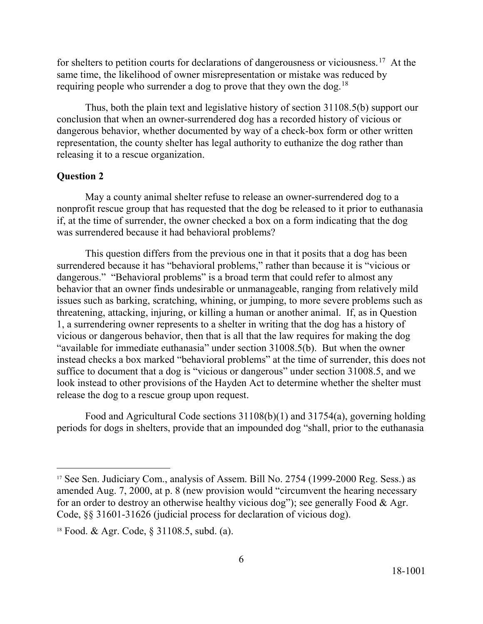for shelters to petition courts for declarations of dangerousness or viciousness.<sup>17</sup> At the requiring people who surrender a dog to prove that they own the dog.<sup>18</sup> same time, the likelihood of owner misrepresentation or mistake was reduced by

 Thus, both the plain text and legislative history of section 31108.5(b) support our dangerous behavior, whether documented by way of a check-box form or other written conclusion that when an owner-surrendered dog has a recorded history of vicious or representation, the county shelter has legal authority to euthanize the dog rather than releasing it to a rescue organization.

### **Question 2**

-

May a county animal shelter refuse to release an owner-surrendered dog to a nonprofit rescue group that has requested that the dog be released to it prior to euthanasia if, at the time of surrender, the owner checked a box on a form indicating that the dog was surrendered because it had behavioral problems?

 dangerous." "Behavioral problems" is a broad term that could refer to almost any 1, a surrendering owner represents to a shelter in writing that the dog has a history of This question differs from the previous one in that it posits that a dog has been surrendered because it has "behavioral problems," rather than because it is "vicious or behavior that an owner finds undesirable or unmanageable, ranging from relatively mild issues such as barking, scratching, whining, or jumping, to more severe problems such as threatening, attacking, injuring, or killing a human or another animal. If, as in Question vicious or dangerous behavior, then that is all that the law requires for making the dog "available for immediate euthanasia" under section 31008.5(b). But when the owner instead checks a box marked "behavioral problems" at the time of surrender, this does not suffice to document that a dog is "vicious or dangerous" under section 31008.5, and we look instead to other provisions of the Hayden Act to determine whether the shelter must release the dog to a rescue group upon request.

Food and Agricultural Code sections 31108(b)(1) and 31754(a), governing holding periods for dogs in shelters, provide that an impounded dog "shall, prior to the euthanasia

<span id="page-5-0"></span><sup>&</sup>lt;sup>17</sup> See Sen. Judiciary Com., analysis of Assem. Bill No. 2754 (1999-2000 Reg. Sess.) as amended Aug. 7, 2000, at p. 8 (new provision would "circumvent the hearing necessary for an order to destroy an otherwise healthy vicious dog"); see generally Food & Agr. Code, §§ 31601-31626 (judicial process for declaration of vicious dog).

<span id="page-5-1"></span><sup>&</sup>lt;sup>18</sup> Food. & Agr. Code, § 31108.5, subd. (a).<br>6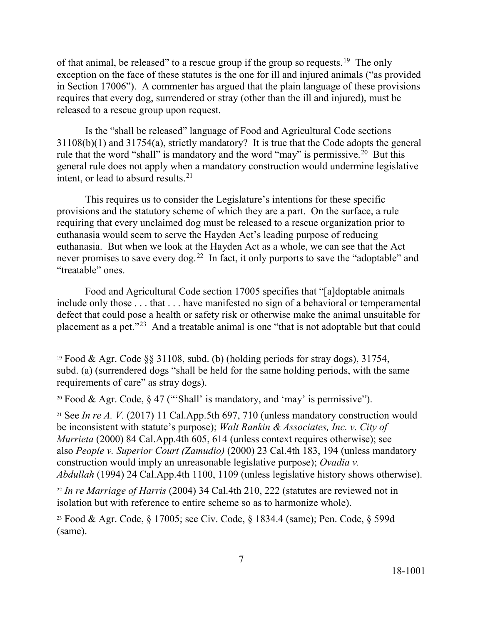of that animal, be released" to a rescue group if the group so requests.<sup>19</sup> The only exception on the face of these statutes is the one for ill and injured animals ("as provided in Section 17006"). A commenter has argued that the plain language of these provisions requires that every dog, surrendered or stray (other than the ill and injured), must be released to a rescue group upon request.

rule that the word "shall" is mandatory and the word "may" is permissive.<sup>[20](#page-6-1)</sup> But this Is the "shall be released" language of Food and Agricultural Code sections 31108(b)(1) and 31754(a), strictly mandatory? It is true that the Code adopts the general general rule does not apply when a mandatory construction would undermine legislative intent, or lead to absurd results.<sup>21</sup>

never promises to save every dog.<sup>[22](#page-6-3)</sup> In fact, it only purports to save the "adoptable" and This requires us to consider the Legislature's intentions for these specific provisions and the statutory scheme of which they are a part. On the surface, a rule requiring that every unclaimed dog must be released to a rescue organization prior to euthanasia would seem to serve the Hayden Act's leading purpose of reducing euthanasia. But when we look at the Hayden Act as a whole, we can see that the Act "treatable" ones.

placement as a pet."<sup>23</sup> And a treatable animal is one "that is not adoptable but that could Food and Agricultural Code section 17005 specifies that "[a]doptable animals include only those . . . that . . . have manifested no sign of a behavioral or temperamental defect that could pose a health or safety risk or otherwise make the animal unsuitable for

-

<span id="page-6-2"></span><sup>21</sup> See *In re A. V.* (2017) 11 Cal.App.5th 697, 710 (unless mandatory construction would be inconsistent with statute's purpose); *Walt Rankin & Associates, Inc. v. City of Murrieta* (2000) 84 Cal.App.4th 605, 614 (unless context requires otherwise); see also *People v. Superior Court (Zamudio)* (2000) 23 Cal.4th 183, 194 (unless mandatory construction would imply an unreasonable legislative purpose); *Ovadia v. Abdullah* (1994) 24 Cal.App.4th 1100, 1109 (unless legislative history shows otherwise).

<span id="page-6-3"></span><sup>22</sup>*In re Marriage of Harris* (2004) 34 Cal.4th 210, 222 (statutes are reviewed not in isolation but with reference to entire scheme so as to harmonize whole).

<span id="page-6-0"></span><sup>&</sup>lt;sup>19</sup> Food & Agr. Code §§ 31108, subd. (b) (holding periods for stray dogs), 31754, subd. (a) (surrendered dogs "shall be held for the same holding periods, with the same requirements of care" as stray dogs).

<span id="page-6-1"></span><sup>&</sup>lt;sup>20</sup> Food & Agr. Code,  $\S 47$  ("'Shall' is mandatory, and 'may' is permissive").

<span id="page-6-4"></span><sup>23</sup> Food & Agr. Code, § 17005; see Civ. Code, § 1834.4 (same); Pen. Code, § 599d (same).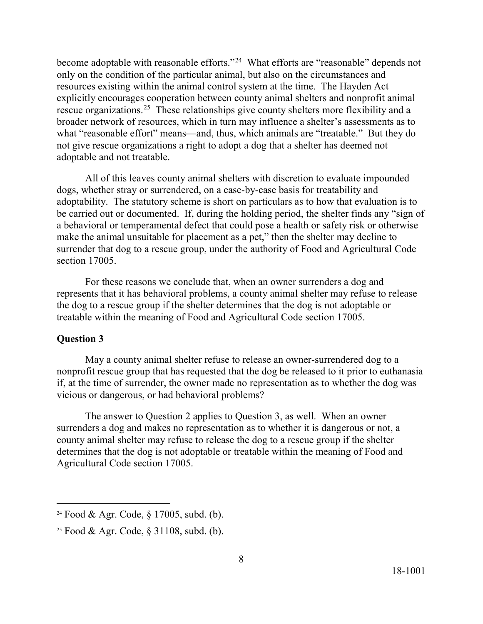become adoptable with reasonable efforts."<sup>24</sup> What efforts are "reasonable" depends not rescue organizations.<sup>25</sup> These relationships give county shelters more flexibility and a what "reasonable effort" means—and, thus, which animals are "treatable." But they do only on the condition of the particular animal, but also on the circumstances and resources existing within the animal control system at the time. The Hayden Act explicitly encourages cooperation between county animal shelters and nonprofit animal broader network of resources, which in turn may influence a shelter's assessments as to not give rescue organizations a right to adopt a dog that a shelter has deemed not adoptable and not treatable.

 be carried out or documented. If, during the holding period, the shelter finds any "sign of section 17005. All of this leaves county animal shelters with discretion to evaluate impounded dogs, whether stray or surrendered, on a case-by-case basis for treatability and adoptability. The statutory scheme is short on particulars as to how that evaluation is to a behavioral or temperamental defect that could pose a health or safety risk or otherwise make the animal unsuitable for placement as a pet," then the shelter may decline to surrender that dog to a rescue group, under the authority of Food and Agricultural Code

 the dog to a rescue group if the shelter determines that the dog is not adoptable or For these reasons we conclude that, when an owner surrenders a dog and represents that it has behavioral problems, a county animal shelter may refuse to release treatable within the meaning of Food and Agricultural Code section 17005.

### **Question 3**

 $\overline{a}$ 

 nonprofit rescue group that has requested that the dog be released to it prior to euthanasia May a county animal shelter refuse to release an owner-surrendered dog to a if, at the time of surrender, the owner made no representation as to whether the dog was vicious or dangerous, or had behavioral problems?

 The answer to Question 2 applies to Question 3, as well. When an owner surrenders a dog and makes no representation as to whether it is dangerous or not, a county animal shelter may refuse to release the dog to a rescue group if the shelter determines that the dog is not adoptable or treatable within the meaning of Food and Agricultural Code section 17005.

<span id="page-7-0"></span><sup>24</sup> Food & Agr. Code, § 17005, subd. (b).

<span id="page-7-1"></span><sup>25</sup> Food & Agr. Code, § 31108, subd. (b).